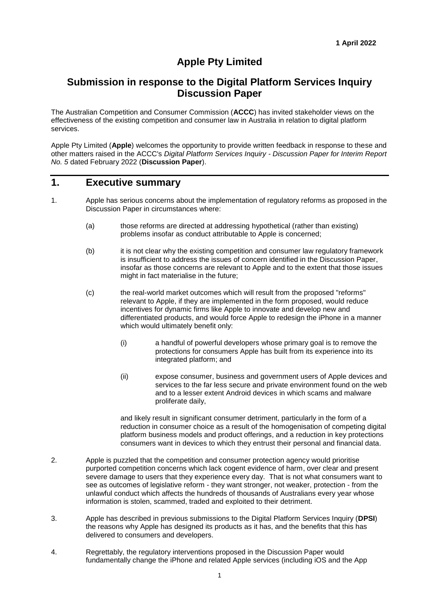# **Apple Pty Limited**

### **Submission in response to the Digital Platform Services Inquiry Discussion Paper**

The Australian Competition and Consumer Commission (**ACCC**) has invited stakeholder views on the effectiveness of the existing competition and consumer law in Australia in relation to digital platform services.

Apple Pty Limited (**Apple**) welcomes the opportunity to provide written feedback in response to these and other matters raised in the ACCC's *Digital Platform Services Inquiry - Discussion Paper for Interim Report No. 5* dated February 2022 (**Discussion Paper**).

### **1. Executive summary**

- 1. Apple has serious concerns about the implementation of regulatory reforms as proposed in the Discussion Paper in circumstances where:
	- (a) those reforms are directed at addressing hypothetical (rather than existing) problems insofar as conduct attributable to Apple is concerned;
	- (b) it is not clear why the existing competition and consumer law regulatory framework is insufficient to address the issues of concern identified in the Discussion Paper, insofar as those concerns are relevant to Apple and to the extent that those issues might in fact materialise in the future;
	- (c) the real-world market outcomes which will result from the proposed "reforms" relevant to Apple, if they are implemented in the form proposed, would reduce incentives for dynamic firms like Apple to innovate and develop new and differentiated products, and would force Apple to redesign the iPhone in a manner which would ultimately benefit only:
		- (i) a handful of powerful developers whose primary goal is to remove the protections for consumers Apple has built from its experience into its integrated platform; and
		- (ii) expose consumer, business and government users of Apple devices and services to the far less secure and private environment found on the web and to a lesser extent Android devices in which scams and malware proliferate daily,

and likely result in significant consumer detriment, particularly in the form of a reduction in consumer choice as a result of the homogenisation of competing digital platform business models and product offerings, and a reduction in key protections consumers want in devices to which they entrust their personal and financial data.

- 2. Apple is puzzled that the competition and consumer protection agency would prioritise purported competition concerns which lack cogent evidence of harm, over clear and present severe damage to users that they experience every day. That is not what consumers want to see as outcomes of legislative reform - they want stronger, not weaker, protection - from the unlawful conduct which affects the hundreds of thousands of Australians every year whose information is stolen, scammed, traded and exploited to their detriment.
- 3. Apple has described in previous submissions to the Digital Platform Services Inquiry (**DPSI**) the reasons why Apple has designed its products as it has, and the benefits that this has delivered to consumers and developers.
- 4. Regrettably, the regulatory interventions proposed in the Discussion Paper would fundamentally change the iPhone and related Apple services (including iOS and the App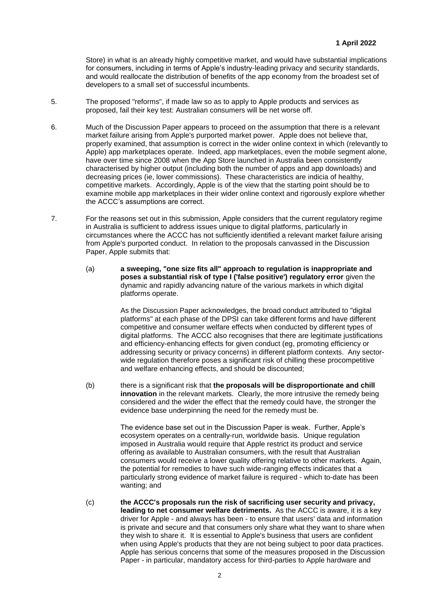Store) in what is an already highly competitive market, and would have substantial implications for consumers, including in terms of Apple's industry-leading privacy and security standards, and would reallocate the distribution of benefits of the app economy from the broadest set of developers to a small set of successful incumbents.

- 5. The proposed "reforms", if made law so as to apply to Apple products and services as proposed, fail their key test: Australian consumers will be net worse off.
- 6. Much of the Discussion Paper appears to proceed on the assumption that there is a relevant market failure arising from Apple's purported market power. Apple does not believe that, properly examined, that assumption is correct in the wider online context in which (relevantly to Apple) app marketplaces operate. Indeed, app marketplaces, even the mobile segment alone, have over time since 2008 when the App Store launched in Australia been consistently characterised by higher output (including both the number of apps and app downloads) and decreasing prices (ie, lower commissions). These characteristics are indicia of healthy, competitive markets. Accordingly, Apple is of the view that the starting point should be to examine mobile app marketplaces in their wider online context and rigorously explore whether the ACCC's assumptions are correct.
- 7. For the reasons set out in this submission, Apple considers that the current regulatory regime in Australia is sufficient to address issues unique to digital platforms, particularly in circumstances where the ACCC has not sufficiently identified a relevant market failure arising from Apple's purported conduct. In relation to the proposals canvassed in the Discussion Paper, Apple submits that:
	- (a) **a sweeping, "one size fits all" approach to regulation is inappropriate and poses a substantial risk of type I ('false positive') regulatory error** given the dynamic and rapidly advancing nature of the various markets in which digital platforms operate.

As the Discussion Paper acknowledges, the broad conduct attributed to "digital platforms" at each phase of the DPSI can take different forms and have different competitive and consumer welfare effects when conducted by different types of digital platforms. The ACCC also recognises that there are legitimate justifications and efficiency-enhancing effects for given conduct (eg, promoting efficiency or addressing security or privacy concerns) in different platform contexts. Any sectorwide regulation therefore poses a significant risk of chilling these procompetitive and welfare enhancing effects, and should be discounted;

(b) there is a significant risk that **the proposals will be disproportionate and chill innovation** in the relevant markets. Clearly, the more intrusive the remedy being considered and the wider the effect that the remedy could have, the stronger the evidence base underpinning the need for the remedy must be.

> The evidence base set out in the Discussion Paper is weak. Further, Apple's ecosystem operates on a centrally-run, worldwide basis. Unique regulation imposed in Australia would require that Apple restrict its product and service offering as available to Australian consumers, with the result that Australian consumers would receive a lower quality offering relative to other markets. Again, the potential for remedies to have such wide-ranging effects indicates that a particularly strong evidence of market failure is required - which to-date has been wanting; and

(c) **the ACCC's proposals run the risk of sacrificing user security and privacy, leading to net consumer welfare detriments.** As the ACCC is aware, it is a key driver for Apple - and always has been - to ensure that users' data and information is private and secure and that consumers only share what they want to share when they wish to share it. It is essential to Apple's business that users are confident when using Apple's products that they are not being subject to poor data practices. Apple has serious concerns that some of the measures proposed in the Discussion Paper - in particular, mandatory access for third-parties to Apple hardware and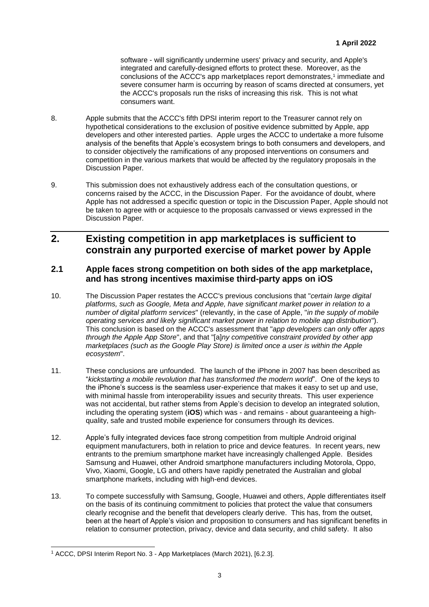software - will significantly undermine users' privacy and security, and Apple's integrated and carefully-designed efforts to protect these. Moreover, as the conclusions of the ACCC's app marketplaces report demonstrates,<sup>1</sup> immediate and severe consumer harm is occurring by reason of scams directed at consumers, yet the ACCC's proposals run the risks of increasing this risk. This is not what consumers want.

- 8. Apple submits that the ACCC's fifth DPSI interim report to the Treasurer cannot rely on hypothetical considerations to the exclusion of positive evidence submitted by Apple, app developers and other interested parties. Apple urges the ACCC to undertake a more fulsome analysis of the benefits that Apple's ecosystem brings to both consumers and developers, and to consider objectively the ramifications of any proposed interventions on consumers and competition in the various markets that would be affected by the regulatory proposals in the Discussion Paper.
- 9. This submission does not exhaustively address each of the consultation questions, or concerns raised by the ACCC, in the Discussion Paper. For the avoidance of doubt, where Apple has not addressed a specific question or topic in the Discussion Paper, Apple should not be taken to agree with or acquiesce to the proposals canvassed or views expressed in the Discussion Paper.

### **2. Existing competition in app marketplaces is sufficient to constrain any purported exercise of market power by Apple**

#### **2.1 Apple faces strong competition on both sides of the app marketplace, and has strong incentives maximise third-party apps on iOS**

- 10. The Discussion Paper restates the ACCC's previous conclusions that "*certain large digital platforms, such as Google, Meta and Apple, have significant market power in relation to a number of digital platform services*" (relevantly, in the case of Apple, "*in the supply of mobile operating services and likely significant market power in relation to mobile app distribution*"). This conclusion is based on the ACCC's assessment that "*app developers can only offer apps through the Apple App Store*", and that "[a]*ny competitive constraint provided by other app marketplaces (such as the Google Play Store) is limited once a user is within the Apple ecosystem*".
- 11. These conclusions are unfounded. The launch of the iPhone in 2007 has been described as "*kickstarting a mobile revolution that has transformed the modern world*". One of the keys to the iPhone's success is the seamless user-experience that makes it easy to set up and use, with minimal hassle from interoperability issues and security threats. This user experience was not accidental, but rather stems from Apple's decision to develop an integrated solution, including the operating system (**iOS**) which was - and remains - about guaranteeing a highquality, safe and trusted mobile experience for consumers through its devices.
- 12. Apple's fully integrated devices face strong competition from multiple Android original equipment manufacturers, both in relation to price and device features. In recent years, new entrants to the premium smartphone market have increasingly challenged Apple. Besides Samsung and Huawei, other Android smartphone manufacturers including Motorola, Oppo, Vivo, Xiaomi, Google, LG and others have rapidly penetrated the Australian and global smartphone markets, including with high-end devices.
- 13. To compete successfully with Samsung, Google, Huawei and others, Apple differentiates itself on the basis of its continuing commitment to policies that protect the value that consumers clearly recognise and the benefit that developers clearly derive. This has, from the outset, been at the heart of Apple's vision and proposition to consumers and has significant benefits in relation to consumer protection, privacy, device and data security, and child safety. It also

l <sup>1</sup> ACCC, DPSI Interim Report No. 3 - App Marketplaces (March 2021), [6.2.3].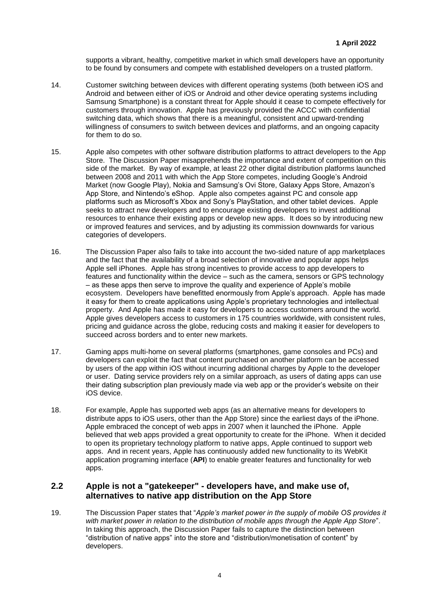supports a vibrant, healthy, competitive market in which small developers have an opportunity to be found by consumers and compete with established developers on a trusted platform.

- 14. Customer switching between devices with different operating systems (both between iOS and Android and between either of iOS or Android and other device operating systems including Samsung Smartphone) is a constant threat for Apple should it cease to compete effectively for customers through innovation. Apple has previously provided the ACCC with confidential switching data, which shows that there is a meaningful, consistent and upward-trending willingness of consumers to switch between devices and platforms, and an ongoing capacity for them to do so.
- 15. Apple also competes with other software distribution platforms to attract developers to the App Store. The Discussion Paper misapprehends the importance and extent of competition on this side of the market. By way of example, at least 22 other digital distribution platforms launched between 2008 and 2011 with which the App Store competes, including Google's Android Market (now Google Play), Nokia and Samsung's Ovi Store, Galaxy Apps Store, Amazon's App Store, and Nintendo's eShop. Apple also competes against PC and console app platforms such as Microsoft's Xbox and Sony's PlayStation, and other tablet devices. Apple seeks to attract new developers and to encourage existing developers to invest additional resources to enhance their existing apps or develop new apps. It does so by introducing new or improved features and services, and by adjusting its commission downwards for various categories of developers.
- 16. The Discussion Paper also fails to take into account the two-sided nature of app marketplaces and the fact that the availability of a broad selection of innovative and popular apps helps Apple sell iPhones. Apple has strong incentives to provide access to app developers to features and functionality within the device – such as the camera, sensors or GPS technology – as these apps then serve to improve the quality and experience of Apple's mobile ecosystem. Developers have benefitted enormously from Apple's approach. Apple has made it easy for them to create applications using Apple's proprietary technologies and intellectual property. And Apple has made it easy for developers to access customers around the world. Apple gives developers access to customers in 175 countries worldwide, with consistent rules, pricing and guidance across the globe, reducing costs and making it easier for developers to succeed across borders and to enter new markets.
- 17. Gaming apps multi-home on several platforms (smartphones, game consoles and PCs) and developers can exploit the fact that content purchased on another platform can be accessed by users of the app within iOS without incurring additional charges by Apple to the developer or user. Dating service providers rely on a similar approach, as users of dating apps can use their dating subscription plan previously made via web app or the provider's website on their iOS device.
- 18. For example, Apple has supported web apps (as an alternative means for developers to distribute apps to iOS users, other than the App Store) since the earliest days of the iPhone. Apple embraced the concept of web apps in 2007 when it launched the iPhone. Apple believed that web apps provided a great opportunity to create for the iPhone. When it decided to open its proprietary technology platform to native apps, Apple continued to support web apps. And in recent years, Apple has continuously added new functionality to its WebKit application programing interface (**API**) to enable greater features and functionality for web apps.

#### **2.2 Apple is not a "gatekeeper" - developers have, and make use of, alternatives to native app distribution on the App Store**

19. The Discussion Paper states that "*Apple's market power in the supply of mobile OS provides it with market power in relation to the distribution of mobile apps through the Apple App Store*". In taking this approach, the Discussion Paper fails to capture the distinction between "distribution of native apps" into the store and "distribution/monetisation of content" by developers.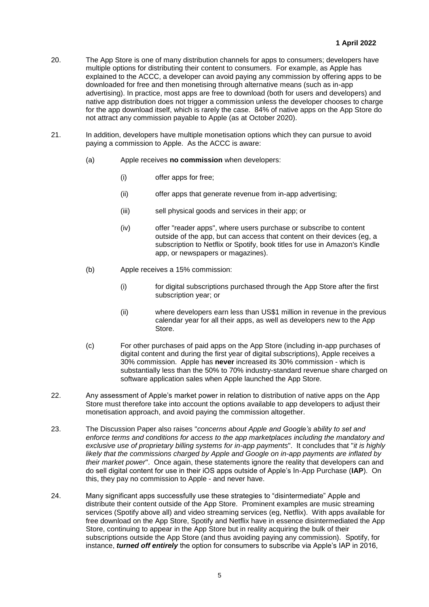- 20. The App Store is one of many distribution channels for apps to consumers; developers have multiple options for distributing their content to consumers. For example, as Apple has explained to the ACCC, a developer can avoid paying any commission by offering apps to be downloaded for free and then monetising through alternative means (such as in-app advertising). In practice, most apps are free to download (both for users and developers) and native app distribution does not trigger a commission unless the developer chooses to charge for the app download itself, which is rarely the case. 84% of native apps on the App Store do not attract any commission payable to Apple (as at October 2020).
- 21. In addition, developers have multiple monetisation options which they can pursue to avoid paying a commission to Apple. As the ACCC is aware:
	- (a) Apple receives **no commission** when developers:
		- (i) offer apps for free;
		- (ii) offer apps that generate revenue from in-app advertising;
		- (iii) sell physical goods and services in their app; or
		- (iv) offer "reader apps", where users purchase or subscribe to content outside of the app, but can access that content on their devices (eg, a subscription to Netflix or Spotify, book titles for use in Amazon's Kindle app, or newspapers or magazines).
	- (b) Apple receives a 15% commission:
		- (i) for digital subscriptions purchased through the App Store after the first subscription year; or
		- (ii) where developers earn less than US\$1 million in revenue in the previous calendar year for all their apps, as well as developers new to the App Store.
	- (c) For other purchases of paid apps on the App Store (including in-app purchases of digital content and during the first year of digital subscriptions), Apple receives a 30% commission. Apple has **never** increased its 30% commission - which is substantially less than the 50% to 70% industry-standard revenue share charged on software application sales when Apple launched the App Store.
- 22. Any assessment of Apple's market power in relation to distribution of native apps on the App Store must therefore take into account the options available to app developers to adjust their monetisation approach, and avoid paying the commission altogether.
- 23. The Discussion Paper also raises "*concerns about Apple and Google's ability to set and enforce terms and conditions for access to the app marketplaces including the mandatory and exclusive use of proprietary billing systems for in-app payments*". It concludes that "*it is highly likely that the commissions charged by Apple and Google on in-app payments are inflated by their market power*". Once again, these statements ignore the reality that developers can and do sell digital content for use in their iOS apps outside of Apple's In-App Purchase (**IAP**). On this, they pay no commission to Apple - and never have.
- 24. Many significant apps successfully use these strategies to "disintermediate" Apple and distribute their content outside of the App Store. Prominent examples are music streaming services (Spotify above all) and video streaming services (eg, Netflix). With apps available for free download on the App Store, Spotify and Netflix have in essence disintermediated the App Store, continuing to appear in the App Store but in reality acquiring the bulk of their subscriptions outside the App Store (and thus avoiding paying any commission). Spotify, for instance, *turned off entirely* the option for consumers to subscribe via Apple's IAP in 2016,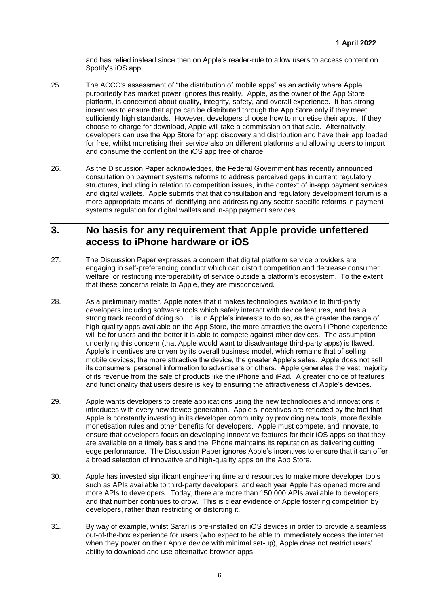and has relied instead since then on Apple's reader-rule to allow users to access content on Spotify's iOS app.

- 25. The ACCC's assessment of "the distribution of mobile apps" as an activity where Apple purportedly has market power ignores this reality. Apple, as the owner of the App Store platform, is concerned about quality, integrity, safety, and overall experience. It has strong incentives to ensure that apps can be distributed through the App Store only if they meet sufficiently high standards. However, developers choose how to monetise their apps. If they choose to charge for download, Apple will take a commission on that sale. Alternatively, developers can use the App Store for app discovery and distribution and have their app loaded for free, whilst monetising their service also on different platforms and allowing users to import and consume the content on the iOS app free of charge.
- 26. As the Discussion Paper acknowledges, the Federal Government has recently announced consultation on payment systems reforms to address perceived gaps in current regulatory structures, including in relation to competition issues, in the context of in-app payment services and digital wallets. Apple submits that that consultation and regulatory development forum is a more appropriate means of identifying and addressing any sector-specific reforms in payment systems regulation for digital wallets and in-app payment services.

### **3. No basis for any requirement that Apple provide unfettered access to iPhone hardware or iOS**

- 27. The Discussion Paper expresses a concern that digital platform service providers are engaging in self-preferencing conduct which can distort competition and decrease consumer welfare, or restricting interoperability of service outside a platform's ecosystem. To the extent that these concerns relate to Apple, they are misconceived.
- 28. As a preliminary matter, Apple notes that it makes technologies available to third-party developers including software tools which safely interact with device features, and has a strong track record of doing so. It is in Apple's interests to do so, as the greater the range of high-quality apps available on the App Store, the more attractive the overall iPhone experience will be for users and the better it is able to compete against other devices. The assumption underlying this concern (that Apple would want to disadvantage third-party apps) is flawed. Apple's incentives are driven by its overall business model, which remains that of selling mobile devices; the more attractive the device, the greater Apple's sales. Apple does not sell its consumers' personal information to advertisers or others. Apple generates the vast majority of its revenue from the sale of products like the iPhone and iPad. A greater choice of features and functionality that users desire is key to ensuring the attractiveness of Apple's devices.
- 29. Apple wants developers to create applications using the new technologies and innovations it introduces with every new device generation. Apple's incentives are reflected by the fact that Apple is constantly investing in its developer community by providing new tools, more flexible monetisation rules and other benefits for developers. Apple must compete, and innovate, to ensure that developers focus on developing innovative features for their iOS apps so that they are available on a timely basis and the iPhone maintains its reputation as delivering cutting edge performance. The Discussion Paper ignores Apple's incentives to ensure that it can offer a broad selection of innovative and high-quality apps on the App Store.
- 30. Apple has invested significant engineering time and resources to make more developer tools such as APIs available to third-party developers, and each year Apple has opened more and more APIs to developers. Today, there are more than 150,000 APIs available to developers, and that number continues to grow. This is clear evidence of Apple fostering competition by developers, rather than restricting or distorting it.
- 31. By way of example, whilst Safari is pre-installed on iOS devices in order to provide a seamless out-of-the-box experience for users (who expect to be able to immediately access the internet when they power on their Apple device with minimal set-up), Apple does not restrict users' ability to download and use alternative browser apps: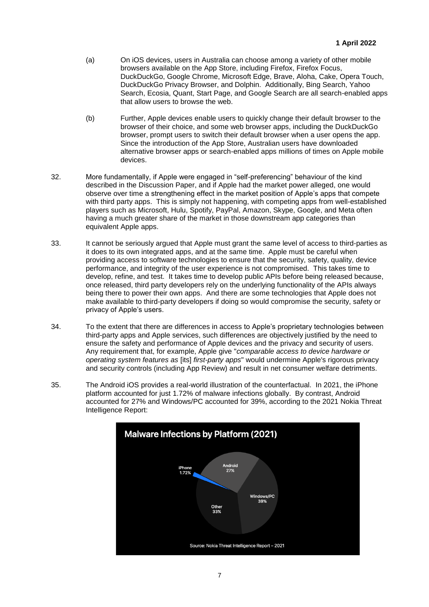- (a) On iOS devices, users in Australia can choose among a variety of other mobile browsers available on the App Store, including Firefox, Firefox Focus, DuckDuckGo, Google Chrome, Microsoft Edge, Brave, Aloha, Cake, Opera Touch, DuckDuckGo Privacy Browser, and Dolphin. Additionally, Bing Search, Yahoo Search, Ecosia, Quant, Start Page, and Google Search are all search-enabled apps that allow users to browse the web.
- (b) Further, Apple devices enable users to quickly change their default browser to the browser of their choice, and some web browser apps, including the DuckDuckGo browser, prompt users to switch their default browser when a user opens the app. Since the introduction of the App Store, Australian users have downloaded alternative browser apps or search-enabled apps millions of times on Apple mobile devices.
- 32. More fundamentally, if Apple were engaged in "self-preferencing" behaviour of the kind described in the Discussion Paper, and if Apple had the market power alleged, one would observe over time a strengthening effect in the market position of Apple's apps that compete with third party apps. This is simply not happening, with competing apps from well-established players such as Microsoft, Hulu, Spotify, PayPal, Amazon, Skype, Google, and Meta often having a much greater share of the market in those downstream app categories than equivalent Apple apps.
- 33. It cannot be seriously argued that Apple must grant the same level of access to third-parties as it does to its own integrated apps, and at the same time. Apple must be careful when providing access to software technologies to ensure that the security, safety, quality, device performance, and integrity of the user experience is not compromised. This takes time to develop, refine, and test. It takes time to develop public APIs before being released because, once released, third party developers rely on the underlying functionality of the APIs always being there to power their own apps. And there are some technologies that Apple does not make available to third-party developers if doing so would compromise the security, safety or privacy of Apple's users.
- 34. To the extent that there are differences in access to Apple's proprietary technologies between third-party apps and Apple services, such differences are objectively justified by the need to ensure the safety and performance of Apple devices and the privacy and security of users. Any requirement that, for example, Apple give "*comparable access to device hardware or operating system features as* [its] *first-party apps*" would undermine Apple's rigorous privacy and security controls (including App Review) and result in net consumer welfare detriments.
- 35. The Android iOS provides a real-world illustration of the counterfactual. In 2021, the iPhone platform accounted for just 1.72% of malware infections globally. By contrast, Android accounted for 27% and Windows/PC accounted for 39%, according to the 2021 Nokia Threat Intelligence Report:

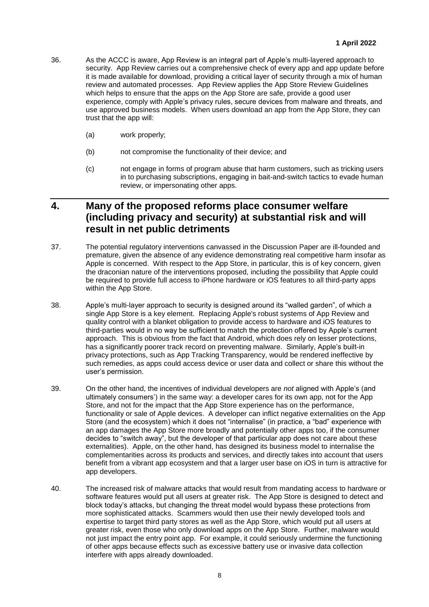- 36. As the ACCC is aware, App Review is an integral part of Apple's multi-layered approach to security. App Review carries out a comprehensive check of every app and app update before it is made available for download, providing a critical layer of security through a mix of human review and automated processes. App Review applies the App Store Review Guidelines which helps to ensure that the apps on the App Store are safe, provide a good user experience, comply with Apple's privacy rules, secure devices from malware and threats, and use approved business models. When users download an app from the App Store, they can trust that the app will:
	- (a) work properly;
	- (b) not compromise the functionality of their device; and
	- (c) not engage in forms of program abuse that harm customers, such as tricking users in to purchasing subscriptions, engaging in bait-and-switch tactics to evade human review, or impersonating other apps.

### **4. Many of the proposed reforms place consumer welfare (including privacy and security) at substantial risk and will result in net public detriments**

- 37. The potential regulatory interventions canvassed in the Discussion Paper are ill-founded and premature, given the absence of any evidence demonstrating real competitive harm insofar as Apple is concerned. With respect to the App Store, in particular, this is of key concern, given the draconian nature of the interventions proposed, including the possibility that Apple could be required to provide full access to iPhone hardware or iOS features to all third-party apps within the App Store.
- 38. Apple's multi-layer approach to security is designed around its "walled garden", of which a single App Store is a key element. Replacing Apple's robust systems of App Review and quality control with a blanket obligation to provide access to hardware and iOS features to third-parties would in no way be sufficient to match the protection offered by Apple's current approach. This is obvious from the fact that Android, which does rely on lesser protections, has a significantly poorer track record on preventing malware. Similarly, Apple's built-in privacy protections, such as App Tracking Transparency, would be rendered ineffective by such remedies, as apps could access device or user data and collect or share this without the user's permission.
- 39. On the other hand, the incentives of individual developers are *not* aligned with Apple's (and ultimately consumers') in the same way: a developer cares for its own app, not for the App Store, and not for the impact that the App Store experience has on the performance, functionality or sale of Apple devices. A developer can inflict negative externalities on the App Store (and the ecosystem) which it does not "internalise" (in practice, a "bad" experience with an app damages the App Store more broadly and potentially other apps too, if the consumer decides to "switch away", but the developer of that particular app does not care about these externalities). Apple, on the other hand, has designed its business model to internalise the complementarities across its products and services, and directly takes into account that users benefit from a vibrant app ecosystem and that a larger user base on iOS in turn is attractive for app developers.
- 40. The increased risk of malware attacks that would result from mandating access to hardware or software features would put all users at greater risk. The App Store is designed to detect and block today's attacks, but changing the threat model would bypass these protections from more sophisticated attacks. Scammers would then use their newly developed tools and expertise to target third party stores as well as the App Store, which would put all users at greater risk, even those who only download apps on the App Store. Further, malware would not just impact the entry point app. For example, it could seriously undermine the functioning of other apps because effects such as excessive battery use or invasive data collection interfere with apps already downloaded.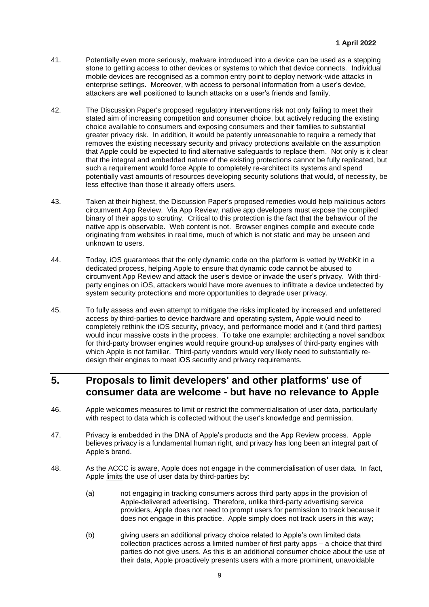- 41. Potentially even more seriously, malware introduced into a device can be used as a stepping stone to getting access to other devices or systems to which that device connects. Individual mobile devices are recognised as a common entry point to deploy network-wide attacks in enterprise settings. Moreover, with access to personal information from a user's device, attackers are well positioned to launch attacks on a user's friends and family.
- 42. The Discussion Paper's proposed regulatory interventions risk not only failing to meet their stated aim of increasing competition and consumer choice, but actively reducing the existing choice available to consumers and exposing consumers and their families to substantial greater privacy risk. In addition, it would be patently unreasonable to require a remedy that removes the existing necessary security and privacy protections available on the assumption that Apple could be expected to find alternative safeguards to replace them. Not only is it clear that the integral and embedded nature of the existing protections cannot be fully replicated, but such a requirement would force Apple to completely re-architect its systems and spend potentially vast amounts of resources developing security solutions that would, of necessity, be less effective than those it already offers users.
- 43. Taken at their highest, the Discussion Paper's proposed remedies would help malicious actors circumvent App Review. Via App Review, native app developers must expose the compiled binary of their apps to scrutiny. Critical to this protection is the fact that the behaviour of the native app is observable. Web content is not. Browser engines compile and execute code originating from websites in real time, much of which is not static and may be unseen and unknown to users.
- 44. Today, iOS guarantees that the only dynamic code on the platform is vetted by WebKit in a dedicated process, helping Apple to ensure that dynamic code cannot be abused to circumvent App Review and attack the user's device or invade the user's privacy. With thirdparty engines on iOS, attackers would have more avenues to infiltrate a device undetected by system security protections and more opportunities to degrade user privacy.
- 45. To fully assess and even attempt to mitigate the risks implicated by increased and unfettered access by third-parties to device hardware and operating system, Apple would need to completely rethink the iOS security, privacy, and performance model and it (and third parties) would incur massive costs in the process. To take one example: architecting a novel sandbox for third-party browser engines would require ground-up analyses of third-party engines with which Apple is not familiar. Third-party vendors would very likely need to substantially redesign their engines to meet iOS security and privacy requirements.

## **5. Proposals to limit developers' and other platforms' use of consumer data are welcome - but have no relevance to Apple**

- 46. Apple welcomes measures to limit or restrict the commercialisation of user data, particularly with respect to data which is collected without the user's knowledge and permission.
- 47. Privacy is embedded in the DNA of Apple's products and the App Review process. Apple believes privacy is a fundamental human right, and privacy has long been an integral part of Apple's brand.
- 48. As the ACCC is aware, Apple does not engage in the commercialisation of user data. In fact, Apple limits the use of user data by third-parties by:
	- (a) not engaging in tracking consumers across third party apps in the provision of Apple-delivered advertising. Therefore, unlike third-party advertising service providers, Apple does not need to prompt users for permission to track because it does not engage in this practice. Apple simply does not track users in this way;
	- (b) giving users an additional privacy choice related to Apple's own limited data collection practices across a limited number of first party apps – a choice that third parties do not give users. As this is an additional consumer choice about the use of their data, Apple proactively presents users with a more prominent, unavoidable